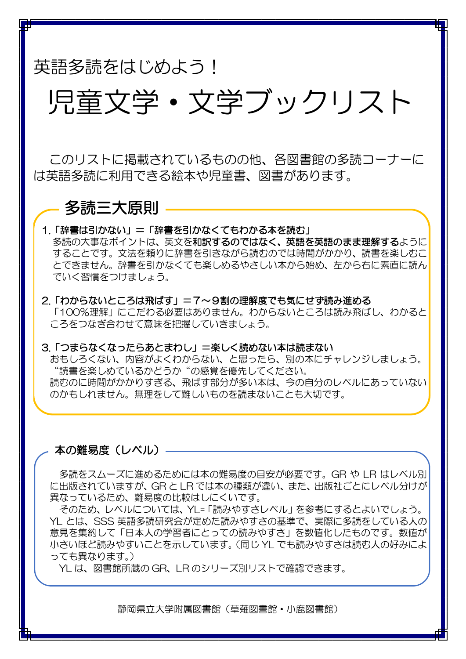# 英語多読をはじめよう!

# 児童文学・文学ブックリスト

このリストに掲載されているものの他、各図書館の多読コーナーに は英語多読に利用できる絵本や児童書、図書があります。

# 多読三大原則

# 1.「辞書は引かない」=「辞書を引かなくてもわかる本を読む」

多読の大事なポイントは、英文を和訳するのではなく、英語を英語のまま理解するように することです。文法を頼りに辞書を引きながら読むのでは時間がかかり、読書を楽しむこ とできません。辞書を引かなくても楽しめるやさしい本から始め、左から右に素直に読ん でいく習慣をつけましょう。

## 2.「わからないところは飛ばす」=7~9割の理解度でも気にせず読み進める

「100%理解」にこだわる必要はありません。わからないところは読み飛ばし、わかると ころをつなぎ合わせて意味を把握していきましょう。

#### 3.「つまらなくなったらあとまわし」=楽しく読めない本は読まない

おもしろくない、内容がよくわからない、と思ったら、別の本にチャレンジしましょう。 "読書を楽しめているかどうか"の感覚を優先してください。 読むのに時間がかかりすぎる、飛ばす部分が多い本は、今の自分のレベルにあっていない のかもしれません。無理をして難しいものを読まないことも大切です。

## 本の難易度(レベル) -

多読をスムーズに進めるためには本の難易度の目安が必要です。GR や LR はレベル別 に出版されていますが、GR と LR では本の種類が違い、また、出版社ごとにレベル分けが 異なっているため、難易度の比較はしにくいです。

そのため、レベルについては、YL=「読みやすさレベル」を参考にするとよいでしょう。 YL とは、SSS 英語多読研究会が定めた読みやすさの基準で、実際に多読をしている人の 意見を集約して「日本人の学習者にとっての読みやすさ」を数値化したものです。数値が 小さいほど読みやすいことを示しています。(同じ YL でも読みやすさは読む人の好みによ っても異なります。)

YL は、図書館所蔵の GR、LR のシリーズ別リストで確認できます。

静岡県立大学附属図書館(草薙図書館・小鹿図書館)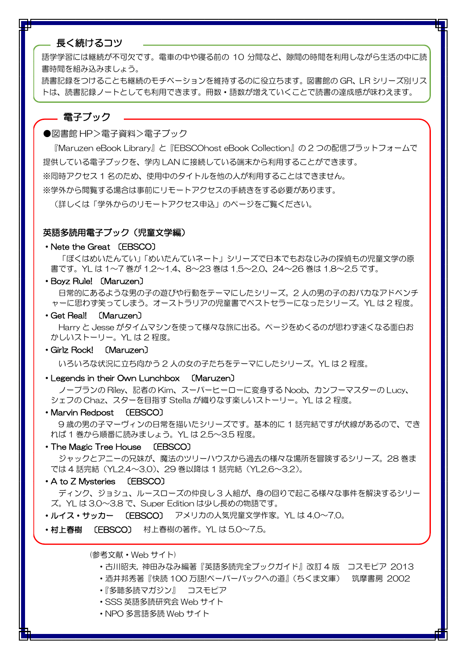#### 長く続けるコツ

語学学習には継続が不可欠です。電車の中や寝る前の 10 分間など、隙間の時間を利用しながら生活の中に読 書時間を組み込みましょう。

読書記録をつけることも継続のモチベーションを維持するのに役立ちます。図書館の GR、LR シリーズ別リス トは、読書記録ノートとしても利用できます。冊数・語数が増えていくことで読書の達成感が味わえます。

#### 電子ブック

●図書館 HP>電子資料>電子ブック

『Maruzen eBook Library』と『EBSCOhost eBook Collection』の 2 つの配信プラットフォームで 提供している電子ブックを、学内 LAN に接続している端末から利用することができます。 ※同時アクセス 1 名のため、使用中のタイトルを他の人が利用することはできません。 ※学外から閲覧する場合は事前にリモートアクセスの手続きをする必要があります。

(詳しくは「学外からのリモートアクセス申込」のページをご覧ください。

#### 英語多読用電子ブック(児童文学編)

#### ・Nete the Great 〔EBSCO〕

 「ぼくはめいたんてい」「めいたんていネート」シリーズで日本でもおなじみの探偵もの児童文学の原 書です。YL は 1~7 巻が 1.2~1.4、8~23 巻は 1.5~2.0、24~26 巻は 1.8~2.5 です。

・Boyz Rule! 〔Maruzen〕

 日常的にあるような男の子の遊びや行動をテーマにしたシリーズ。2 人の男の子のおバカなアドベンチ ャーに思わず笑ってしまう。オーストラリアの児童書でベストセラーになったシリーズ。YL は 2 程度。

・Get Real! 〔Maruzen〕

 Harry と Jesse がタイムマシンを使って様々な旅に出る。ページをめくるのが思わず速くなる面白お かしいストーリー。YL は 2 程度。

#### ・Girlz Rock! 〔Maruzen〕

いろいろな状況に立ち向かう 2 人の女の子たちをテーマにしたシリーズ。YL は 2 程度。

・Legends in their Own Lunchbox 〔Maruzen〕

 ノープランの Riley、記者の Kim、スーパーヒーローに変身する Noob、カンフーマスターの Lucy、 シェフの Chaz、スターを目指す Stella が織りなす楽しいストーリー。YL は 2 程度。

・Marvin Redpost 〔EBSCO〕

9 歳の男の子マーヴィンの日常を描いたシリーズです。基本的に 1 話完結ですが伏線があるので、でき れば 1 巻から順番に読みましょう。YL は 2.5~3.5 程度。

・The Magic Tree House 〔EBSCO〕

 ジャックとアニーの兄妹が、魔法のツリーハウスから過去の様々な場所を冒険するシリーズ。28 巻ま では 4 話完結(YL2.4~3.0)、29 巻以降は 1 話完結(YL2.6~3.2)。

#### ・A to Z Mysteries 〔EBSCO〕

 ディンク、ジョシュ、ルースローズの仲良し 3 人組が、身の回りで起こる様々な事件を解決するシリー ズ。YL は 3.0~3.8 で、Super Edition は少し長めの物語です。

・ルイス・サッカー 〔EBSCO〕 アメリカの人気児童文学作家。YL は 4.0~7.0。

• 村上春樹 〔EBSCO〕 村上春樹の著作。YL は 5.0~7.5。

(参考文献・Web サイト)

- ・古川昭夫, 神田みなみ編著『英語多読完全ブックガイド』改訂 4 版 コスモピア 2013
- ・酒井邦秀著『快読 100 万語!ペーパーバックへの道』(ちくま文庫) 筑摩書房 2002
- ・『多聴多読マガジン』 コスモピア
- ・SSS 英語多読研究会 Web サイト
- ・NPO 多言語多読 Web サイト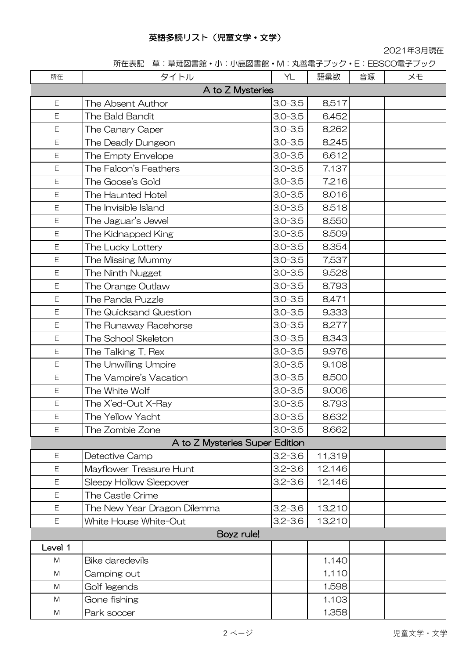## 英語多読リスト(児童文学・文学)

2021年3月現在

所在表記 草:草薙図書館・小:小鹿図書館・M:丸善電子ブック・E:EBSCO電子ブック

| 所在               | タイトル                           | YL          | 語彙数    | 音源 | メモ |  |  |
|------------------|--------------------------------|-------------|--------|----|----|--|--|
| A to Z Mysteries |                                |             |        |    |    |  |  |
| E                | The Absent Author              | $3.0 - 3.5$ | 8,517  |    |    |  |  |
| E                | The Bald Bandit                | $3.0 - 3.5$ | 6,452  |    |    |  |  |
| E                | The Canary Caper               | $3.0 - 3.5$ | 8,262  |    |    |  |  |
| E                | The Deadly Dungeon             | $3.0 - 3.5$ | 8,245  |    |    |  |  |
| E                | The Empty Envelope             | $3.0 - 3.5$ | 6,612  |    |    |  |  |
| Ε                | The Falcon's Feathers          | $3.0 - 3.5$ | 7,137  |    |    |  |  |
| E                | The Goose's Gold               | $3.0 - 3.5$ | 7,216  |    |    |  |  |
| E                | The Haunted Hotel              | $3.0 - 3.5$ | 8,016  |    |    |  |  |
| E                | The Invisible Island           | $3.0 - 3.5$ | 8,518  |    |    |  |  |
| E                | The Jaguar's Jewel             | $3.0 - 3.5$ | 8,550  |    |    |  |  |
| Ε                | The Kidnapped King             | $3.0 - 3.5$ | 8,509  |    |    |  |  |
| E                | The Lucky Lottery              | $3.0 - 3.5$ | 8,354  |    |    |  |  |
| E                | The Missing Mummy              | $3.0 - 3.5$ | 7,537  |    |    |  |  |
| E                | The Ninth Nugget               | $3.0 - 3.5$ | 9,528  |    |    |  |  |
| Ε                | The Orange Outlaw              | $3.0 - 3.5$ | 8,793  |    |    |  |  |
| E                | The Panda Puzzle               | $3.0 - 3.5$ | 8,471  |    |    |  |  |
| Ε                | The Quicksand Question         | $3.0 - 3.5$ | 9,333  |    |    |  |  |
| E                | The Runaway Racehorse          | $3.0 - 3.5$ | 8,277  |    |    |  |  |
| E                | The School Skeleton            | $3.0 - 3.5$ | 8,343  |    |    |  |  |
| Ε                | The Talking T. Rex             | $3.0 - 3.5$ | 9,976  |    |    |  |  |
| Ε                | The Unwilling Umpire           | $3.0 - 3.5$ | 9,108  |    |    |  |  |
| E                | The Vampire's Vacation         | $3.0 - 3.5$ | 8,500  |    |    |  |  |
| E                | The White Wolf                 | $3.0 - 3.5$ | 9,006  |    |    |  |  |
| E                | The X'ed-Out X-Ray             | $3.0 - 3.5$ | 8,793  |    |    |  |  |
| Ε                | The Yellow Yacht               | $3.0 - 3.5$ | 8,632  |    |    |  |  |
| Ε                | The Zombie Zone                | $3.0 - 3.5$ | 8,662  |    |    |  |  |
|                  | A to Z Mysteries Super Edition |             |        |    |    |  |  |
| E                | Detective Camp                 | $3.2 - 3.6$ | 11,319 |    |    |  |  |
| Ε                | Mayflower Treasure Hunt        | $3.2 - 3.6$ | 12,146 |    |    |  |  |
| Ε                | Sleepy Hollow Sleepover        | $3.2 - 3.6$ | 12,146 |    |    |  |  |
| Ε                | <b>The Castle Crime</b>        |             |        |    |    |  |  |
| E                | The New Year Dragon Dilemma    | $3.2 - 3.6$ | 13,210 |    |    |  |  |
| Ε                | White House White-Out          | $3.2 - 3.6$ | 13,210 |    |    |  |  |
|                  | Boyz rule!                     |             |        |    |    |  |  |
| Level 1          |                                |             |        |    |    |  |  |
| M                | <b>Bike daredevils</b>         |             | 1,140  |    |    |  |  |
| ${\sf M}$        | Camping out                    |             | 1,110  |    |    |  |  |
| M                | Golf legends                   |             | 1,598  |    |    |  |  |
| M                | Gone fishing                   |             | 1,103  |    |    |  |  |
| M                | Park soccer                    |             | 1,358  |    |    |  |  |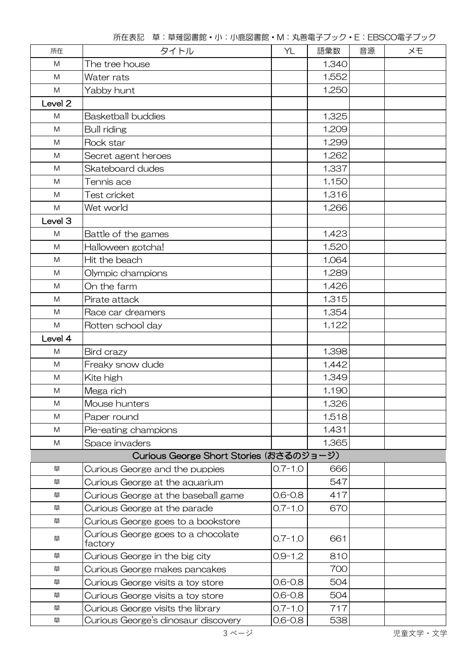| 所在                 | タイトル                                          | YL          | 語彙数   | 音源 | メモ |
|--------------------|-----------------------------------------------|-------------|-------|----|----|
| M                  | The tree house                                |             | 1,340 |    |    |
| M                  | Water rats                                    |             | 1,552 |    |    |
| ${\sf M}$          | Yabby hunt                                    |             | 1,250 |    |    |
| Level <sub>2</sub> |                                               |             |       |    |    |
| M                  | <b>Basketball buddies</b>                     |             | 1,325 |    |    |
| M                  | <b>Bull riding</b>                            |             | 1,209 |    |    |
| M                  | Rock star                                     |             | 1,299 |    |    |
| M                  | Secret agent heroes                           |             | 1,262 |    |    |
| ${\sf M}$          | Skateboard dudes                              |             | 1,337 |    |    |
| M                  | Tennis ace                                    |             | 1,150 |    |    |
| M                  | Test cricket                                  |             | 1,316 |    |    |
| ${\sf M}$          | Wet world                                     |             | 1,266 |    |    |
| Level 3            |                                               |             |       |    |    |
| M                  | Battle of the games                           |             | 1,423 |    |    |
| M                  | Halloween gotcha!                             |             | 1,520 |    |    |
| ${\sf M}$          | Hit the beach                                 |             | 1,064 |    |    |
| M                  | Olympic champions                             |             | 1,289 |    |    |
| ${\sf M}$          | On the farm                                   |             | 1,426 |    |    |
| M                  | Pirate attack                                 |             | 1,315 |    |    |
| M                  | Race car dreamers                             |             | 1,354 |    |    |
| ${\sf M}$          | Rotten school day                             |             | 1,122 |    |    |
| Level 4            |                                               |             |       |    |    |
| M                  | Bird crazy                                    |             | 1,398 |    |    |
| M                  | Freaky snow dude                              |             | 1,442 |    |    |
| M                  | Kite high                                     |             | 1,349 |    |    |
| ${\sf M}$          | Mega rich                                     |             | 1,190 |    |    |
| ${\sf M}$          | Mouse hunters                                 |             | 1,326 |    |    |
| M                  | Paper round                                   |             | 1,518 |    |    |
| M                  | Pie-eating champions                          |             | 1,431 |    |    |
| M                  | Space invaders                                |             | 1,365 |    |    |
|                    | Curious George Short Stories (おさるのジョージ)       |             |       |    |    |
| 草                  | Curious George and the puppies                | $0.7 - 1.0$ | 666   |    |    |
| 草                  | Curious George at the aquarium                |             | 547   |    |    |
| 草                  | Curious George at the baseball game           | $0.6 - 0.8$ | 417   |    |    |
| 草                  | Curious George at the parade                  | $0.7 - 1.0$ | 670   |    |    |
| 草                  | Curious George goes to a bookstore            |             |       |    |    |
| 草                  | Curious George goes to a chocolate<br>factory | $0.7 - 1.0$ | 661   |    |    |
| 草                  | Curious George in the big city                | $0.9 - 1.2$ | 810   |    |    |
| 草                  | Curious George makes pancakes                 |             | 700   |    |    |
| 草                  | Curious George visits a toy store             | $0.6 - 0.8$ | 504   |    |    |
| 草                  | Curious George visits a toy store             | $0.6 - 0.8$ | 504   |    |    |
| 草                  | Curious George visits the library             | $0.7 - 1.0$ | 717   |    |    |
| 草                  | Curious George's dinosaur discovery           | $0.6 - 0.8$ | 538   |    |    |

所在表記 草:草薙図書館・小:小鹿図書館・M:丸善電子ブック・E:EBSCO電子ブック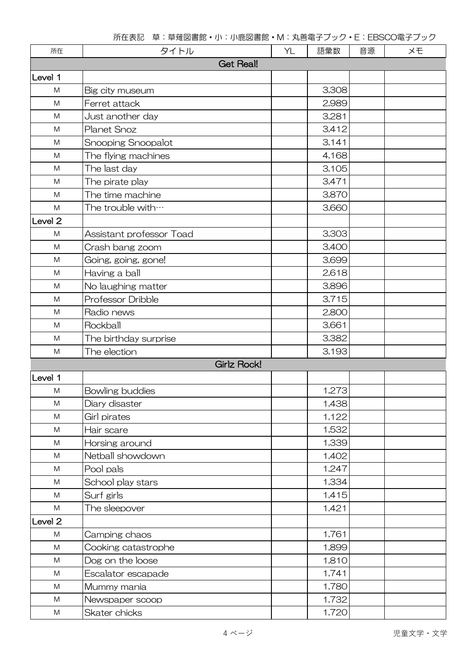| 所在                                                                                                         | タイトル                     | YL | 語彙数   | 音源 | メモ |  |  |
|------------------------------------------------------------------------------------------------------------|--------------------------|----|-------|----|----|--|--|
| <b>Get Real!</b>                                                                                           |                          |    |       |    |    |  |  |
| Level 1                                                                                                    |                          |    |       |    |    |  |  |
| M                                                                                                          | Big city museum          |    | 3,308 |    |    |  |  |
| $\mathsf{M}% _{T}=\mathsf{M}_{T}\!\left( a,b\right) ,\ \mathsf{M}_{T}=\mathsf{M}_{T}\!\left( a,b\right) ,$ | Ferret attack            |    | 2,989 |    |    |  |  |
| M                                                                                                          | Just another day         |    | 3,281 |    |    |  |  |
| M                                                                                                          | Planet Snoz              |    | 3,412 |    |    |  |  |
| M                                                                                                          | Snooping Snoopalot       |    | 3,141 |    |    |  |  |
| M                                                                                                          | The flying machines      |    | 4,168 |    |    |  |  |
| M                                                                                                          | The last day             |    | 3,105 |    |    |  |  |
| M                                                                                                          | The pirate play          |    | 3,471 |    |    |  |  |
| M                                                                                                          | The time machine         |    | 3,870 |    |    |  |  |
| M                                                                                                          | The trouble with         |    | 3,660 |    |    |  |  |
| Level <sub>2</sub>                                                                                         |                          |    |       |    |    |  |  |
| M                                                                                                          | Assistant professor Toad |    | 3,303 |    |    |  |  |
| $\mathsf{M}% _{T}=\mathsf{M}_{T}\!\left( a,b\right) ,\ \mathsf{M}_{T}=\mathsf{M}_{T}\!\left( a,b\right) ,$ | Crash bang zoom          |    | 3,400 |    |    |  |  |
| M                                                                                                          | Going, going, gone!      |    | 3,699 |    |    |  |  |
| M                                                                                                          | Having a ball            |    | 2,618 |    |    |  |  |
| M                                                                                                          | No laughing matter       |    | 3,896 |    |    |  |  |
| M                                                                                                          | Professor Dribble        |    | 3,715 |    |    |  |  |
| M                                                                                                          | Radio news               |    | 2,800 |    |    |  |  |
| M                                                                                                          | Rockball                 |    | 3,661 |    |    |  |  |
| M                                                                                                          | The birthday surprise    |    | 3,382 |    |    |  |  |
| M                                                                                                          | The election             |    | 3,193 |    |    |  |  |
|                                                                                                            | Girlz Rock!              |    |       |    |    |  |  |
| Level 1                                                                                                    |                          |    |       |    |    |  |  |
| M                                                                                                          | Bowling buddies          |    | 1,273 |    |    |  |  |
| ${\sf M}$                                                                                                  | Diary disaster           |    | 1,438 |    |    |  |  |
| ${\sf M}$                                                                                                  | Girl pirates             |    | 1,122 |    |    |  |  |
| ${\sf M}$                                                                                                  | Hair scare               |    | 1,532 |    |    |  |  |
| M                                                                                                          | Horsing around           |    | 1,339 |    |    |  |  |
| M                                                                                                          | Netball showdown         |    | 1,402 |    |    |  |  |
| M                                                                                                          | Pool pals                |    | 1,247 |    |    |  |  |
| M                                                                                                          | School play stars        |    | 1,334 |    |    |  |  |
| M                                                                                                          | Surf girls               |    | 1,415 |    |    |  |  |
| M                                                                                                          | The sleepover            |    | 1,421 |    |    |  |  |
| Level <sub>2</sub>                                                                                         |                          |    |       |    |    |  |  |
| ${\sf M}$                                                                                                  | Camping chaos            |    | 1,761 |    |    |  |  |
| M                                                                                                          | Cooking catastrophe      |    | 1,899 |    |    |  |  |
| M                                                                                                          | Dog on the loose         |    | 1,810 |    |    |  |  |
| M                                                                                                          | Escalator escapade       |    | 1,741 |    |    |  |  |
| M                                                                                                          | Mummy mania              |    | 1,780 |    |    |  |  |
| M                                                                                                          | Newspaper scoop          |    | 1,732 |    |    |  |  |
| M                                                                                                          | Skater chicks            |    | 1,720 |    |    |  |  |

所在表記 草:草薙図書館・小:小鹿図書館・M:丸善電子ブック・E:EBSCO電子ブック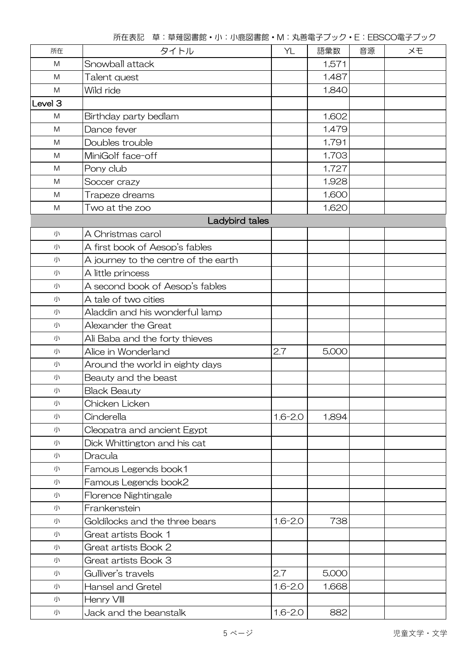| 所在                 | タイトル                                 | YL          | 語彙数   | 音源 | メモ |
|--------------------|--------------------------------------|-------------|-------|----|----|
| M                  | Snowball attack                      |             | 1,571 |    |    |
| M                  | Talent quest                         |             | 1,487 |    |    |
| M                  | Wild ride                            |             | 1,840 |    |    |
| Level <sub>3</sub> |                                      |             |       |    |    |
| M                  | Birthday party bedlam                |             | 1,602 |    |    |
| M                  | Dance fever                          |             | 1,479 |    |    |
| M                  | Doubles trouble                      |             | 1,791 |    |    |
| M                  | MiniGolf face-off                    |             | 1,703 |    |    |
| M                  | Pony club                            |             | 1,727 |    |    |
| M                  | Soccer crazy                         |             | 1,928 |    |    |
| M                  | Trapeze dreams                       |             | 1,600 |    |    |
| M                  | Two at the zoo                       |             | 1,620 |    |    |
|                    | Ladybird tales                       |             |       |    |    |
| 小                  | A Christmas carol                    |             |       |    |    |
| 小                  | A first book of Aesop's fables       |             |       |    |    |
| 小                  | A journey to the centre of the earth |             |       |    |    |
| 小                  | A little princess                    |             |       |    |    |
| 小                  | A second book of Aesop's fables      |             |       |    |    |
| 小                  | A tale of two cities                 |             |       |    |    |
| 小                  | Aladdin and his wonderful lamp       |             |       |    |    |
| 小                  | Alexander the Great                  |             |       |    |    |
| 小                  | Ali Baba and the forty thieves       |             |       |    |    |
| 小                  | Alice in Wonderland                  | 2.7         | 5,000 |    |    |
| 小                  | Around the world in eighty days      |             |       |    |    |
| 小                  | Beauty and the beast                 |             |       |    |    |
| 小                  | <b>Black Beauty</b>                  |             |       |    |    |
| 小                  | Chicken Licken                       |             |       |    |    |
| 小                  | Cinderella                           | $1.6 - 2.0$ | 1,894 |    |    |
| 小                  | Cleopatra and ancient Egypt          |             |       |    |    |
| 小                  | Dick Whittington and his cat         |             |       |    |    |
| 小                  | Dracula                              |             |       |    |    |
| 小                  | Famous Legends book1                 |             |       |    |    |
| 小                  | Famous Legends book2                 |             |       |    |    |
| 小                  | Florence Nightingale                 |             |       |    |    |
| 小                  | Frankenstein                         |             |       |    |    |
| 小                  | Goldilocks and the three bears       | $1.6 - 2.0$ | 738   |    |    |
| 小                  | Great artists Book 1                 |             |       |    |    |
| 小                  | Great artists Book 2                 |             |       |    |    |
| 小                  | Great artists Book 3                 |             |       |    |    |
| 小                  | Gulliver's travels                   | 2.7         | 5,000 |    |    |
| 小                  | Hansel and Gretel                    | $1.6 - 2.0$ | 1,668 |    |    |
| 小                  | Henry VIII                           |             |       |    |    |
| 小                  | Jack and the beanstalk               | $1.6 - 2.0$ | 882   |    |    |

所在表記 草:草薙図書館・小:小鹿図書館・M:丸善電子ブック・E:EBSCO電子ブック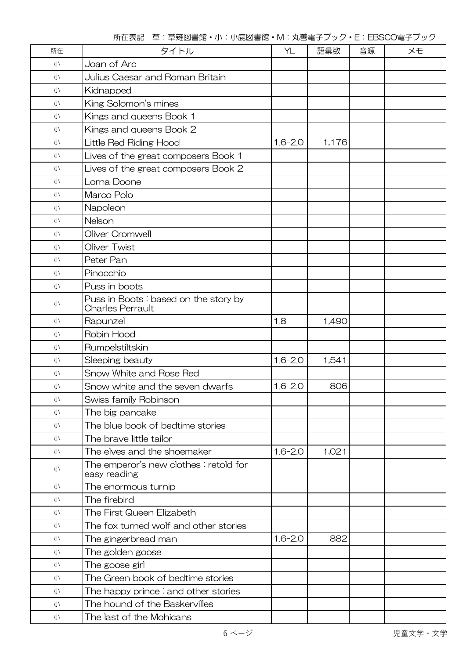|  |  |  | 所在表記 草:草薙図書館·小:小鹿図書館·M:丸善電子ブック·E:EBSCO電子ブック |
|--|--|--|---------------------------------------------|
|--|--|--|---------------------------------------------|

| 所在 | タイトル                                                            | YL          | 語彙数   | 音源 | XĐ |
|----|-----------------------------------------------------------------|-------------|-------|----|----|
| 小  | Joan of Arc                                                     |             |       |    |    |
| 小  | Julius Caesar and Roman Britain                                 |             |       |    |    |
| 小  | Kidnapped                                                       |             |       |    |    |
| 小  | King Solomon's mines                                            |             |       |    |    |
| 小  | Kings and queens Book 1                                         |             |       |    |    |
| 小  | Kings and queens Book 2                                         |             |       |    |    |
| 小  | Little Red Riding Hood                                          | $1.6 - 2.0$ | 1,176 |    |    |
| 小  | Lives of the great composers Book 1                             |             |       |    |    |
| 小  | Lives of the great composers Book 2                             |             |       |    |    |
| 小  | Lorna Doone                                                     |             |       |    |    |
| 小  | Marco Polo                                                      |             |       |    |    |
| 小  | Napoleon                                                        |             |       |    |    |
| 小  | Nelson                                                          |             |       |    |    |
| 小  | Oliver Cromwell                                                 |             |       |    |    |
| 小  | Oliver Twist                                                    |             |       |    |    |
| 小  | Peter Pan                                                       |             |       |    |    |
| 小  | Pinocchio                                                       |             |       |    |    |
| 小  | Puss in boots                                                   |             |       |    |    |
| 小  | Puss in Boots: based on the story by<br><b>Charles Perrault</b> |             |       |    |    |
| 小  | Rapunzel                                                        | 1.8         | 1,490 |    |    |
| 小  | Robin Hood                                                      |             |       |    |    |
| 小  | Rumpelstiltskin                                                 |             |       |    |    |
| 小  | Sleeping beauty                                                 | $1.6 - 2.0$ | 1,541 |    |    |
| 小  | Snow White and Rose Red                                         |             |       |    |    |
| 小  | Snow white and the seven dwarfs                                 | $1.6 - 2.0$ | 806   |    |    |
| 小  | Swiss family Robinson                                           |             |       |    |    |
| 小  | The big pancake                                                 |             |       |    |    |
| 小  | The blue book of bedtime stories                                |             |       |    |    |
| 小  | The brave little tailor                                         |             |       |    |    |
| 小  | The elves and the shoemaker                                     | $1.6 - 2.0$ | 1,021 |    |    |
| 小  | The emperor's new clothes : retold for<br>easy reading          |             |       |    |    |
| 小  | The enormous turnip                                             |             |       |    |    |
| 小  | The firebird                                                    |             |       |    |    |
| 小  | The First Queen Elizabeth                                       |             |       |    |    |
| 小  | The fox turned wolf and other stories                           |             |       |    |    |
| 小  | The gingerbread man                                             | $1.6 - 2.0$ | 882   |    |    |
| 小  | The golden goose                                                |             |       |    |    |
| 小  | The goose girl                                                  |             |       |    |    |
| 小  | The Green book of bedtime stories                               |             |       |    |    |
| 小  | The happy prince $\vdots$ and other stories                     |             |       |    |    |
| 小  | The hound of the Baskervilles                                   |             |       |    |    |
| 小  | The last of the Mohicans                                        |             |       |    |    |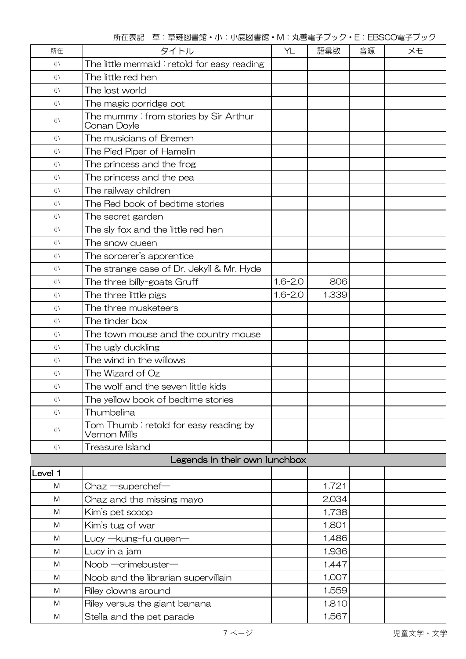所在表記 草:草薙図書館・小:小鹿図書館・M:丸善電子ブック・E:EBSCO電子ブック

| 所在      | タイトル                                                  | YL          | 語彙数   | 音源 | XĐ |
|---------|-------------------------------------------------------|-------------|-------|----|----|
| 小       | The little mermaid: retold for easy reading           |             |       |    |    |
| 小       | The little red hen                                    |             |       |    |    |
| 小       | The lost world                                        |             |       |    |    |
| 小       | The magic porridge pot                                |             |       |    |    |
| 小       | The mummy:from stories by Sir Arthur<br>Conan Doyle   |             |       |    |    |
| 小       | The musicians of Bremen                               |             |       |    |    |
| 小       | The Pied Piper of Hamelin                             |             |       |    |    |
| 小       | The princess and the frog                             |             |       |    |    |
| 小       | The princess and the pea                              |             |       |    |    |
| 小       | The railway children                                  |             |       |    |    |
| 小       | The Red book of bedtime stories                       |             |       |    |    |
| 小       | The secret garden                                     |             |       |    |    |
| 小       | The sly fox and the little red hen                    |             |       |    |    |
| 小       | The snow queen                                        |             |       |    |    |
| 小       | The sorcerer's apprentice                             |             |       |    |    |
| 小       | The strange case of Dr. Jekyll & Mr. Hyde             |             |       |    |    |
| 小       | The three billy-goats Gruff                           | $1.6 - 2.0$ | 806   |    |    |
| 小       | The three little pigs                                 | $1.6 - 2.0$ | 1,339 |    |    |
| 小       | The three musketeers                                  |             |       |    |    |
| 小       | The tinder box                                        |             |       |    |    |
| 小       | The town mouse and the country mouse                  |             |       |    |    |
| 小       | The ugly duckling                                     |             |       |    |    |
| 小       | The wind in the willows                               |             |       |    |    |
| 小       | The Wizard of Oz                                      |             |       |    |    |
| 小       | The wolf and the seven little kids                    |             |       |    |    |
| 小       | The yellow book of bedtime stories                    |             |       |    |    |
| 小       | Thumbelina                                            |             |       |    |    |
| 小       | Tom Thumb: retold for easy reading by<br>Vernon Mills |             |       |    |    |
| 小       | Treasure Island                                       |             |       |    |    |
|         | Legends in their own lunchbox                         |             |       |    |    |
| Level 1 |                                                       |             |       |    |    |
| M       | $Chaz$ $\equiv$ superchef $\equiv$                    |             | 1,721 |    |    |
| M       | Chaz and the missing mayo                             |             | 2,034 |    |    |
| M       | Kim's pet scoop                                       |             | 1,738 |    |    |
| M       | Kim's tug of war                                      |             | 1,801 |    |    |
| M       | Lucy —kung-fu queen—                                  |             | 1,486 |    |    |
| M       | Lucy in a jam                                         |             | 1,936 |    |    |
| M       | Noob -crimebuster-                                    |             | 1,447 |    |    |
| M       | Noob and the librarian supervillain                   |             | 1,007 |    |    |
| M       | Riley clowns around                                   |             | 1,559 |    |    |
| M       | Riley versus the giant banana                         |             | 1,810 |    |    |
| M       | Stella and the pet parade                             |             | 1,567 |    |    |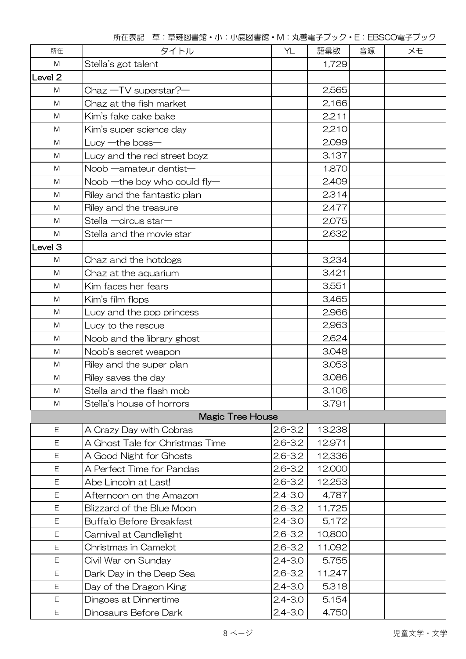| 所在                 | タイトル                            | YL          | 語彙数    | 音源 | メモ |
|--------------------|---------------------------------|-------------|--------|----|----|
| M                  | Stella's got talent             |             | 1,729  |    |    |
| Level <sub>2</sub> |                                 |             |        |    |    |
| M                  | Chaz -TV superstar?-            |             | 2,565  |    |    |
| M                  | Chaz at the fish market         |             | 2,166  |    |    |
| M                  | Kim's fake cake bake            |             | 2,211  |    |    |
| M                  | Kim's super science day         |             | 2,210  |    |    |
| M                  | Lucy $-\text{the}$ boss $-$     |             | 2,099  |    |    |
| M                  | Lucy and the red street boyz    |             | 3,137  |    |    |
| M                  | Noob - amateur dentist-         |             | 1,870  |    |    |
| M                  | Noob —the boy who could fly—    |             | 2,409  |    |    |
| M                  | Riley and the fantastic plan    |             | 2,314  |    |    |
| M                  | Riley and the treasure          |             | 2,477  |    |    |
| M                  | Stella -circus star-            |             | 2,075  |    |    |
| M                  | Stella and the movie star       |             | 2,632  |    |    |
| Level 3            |                                 |             |        |    |    |
| M                  | Chaz and the hotdogs            |             | 3,234  |    |    |
| M                  | Chaz at the aquarium            |             | 3,421  |    |    |
| M                  | Kim faces her fears             |             | 3,551  |    |    |
| M                  | Kim's film flops                |             | 3,465  |    |    |
| M                  | Lucy and the pop princess       |             | 2,966  |    |    |
| M                  | Lucy to the rescue              |             | 2,963  |    |    |
| M                  | Noob and the library ghost      |             | 2,624  |    |    |
| M                  | Noob's secret weapon            |             | 3,048  |    |    |
| M                  | Riley and the super plan        |             | 3,053  |    |    |
| M                  | Riley saves the day             |             | 3,086  |    |    |
| M                  | Stella and the flash mob        |             | 3,106  |    |    |
| M                  | Stella's house of horrors       |             | 3,791  |    |    |
|                    | <b>Magic Tree House</b>         |             |        |    |    |
| Ε                  | A Crazy Day with Cobras         | $2.6 - 3.2$ | 13,238 |    |    |
| Ε                  | A Ghost Tale for Christmas Time | $2.6 - 3.2$ | 12,971 |    |    |
| Ε                  | A Good Night for Ghosts         | $2.6 - 3.2$ | 12,336 |    |    |
| Ε                  | A Perfect Time for Pandas       | $2.6 - 3.2$ | 12,000 |    |    |
| Ε                  | Abe Lincoln at Last!            | $2.6 - 3.2$ | 12,253 |    |    |
| Ε                  | Afternoon on the Amazon         | $2.4 - 3.0$ | 4,787  |    |    |
| Ε                  | Blizzard of the Blue Moon       | $2.6 - 3.2$ | 11,725 |    |    |
| Ε                  | <b>Buffalo Before Breakfast</b> | $2.4 - 3.0$ | 5,172  |    |    |
| Ε                  | Carnival at Candlelight         | $2.6 - 3.2$ | 10,800 |    |    |
| Ε                  | Christmas in Camelot            | $2.6 - 3.2$ | 11,092 |    |    |
| Ε                  | Civil War on Sunday             | $2.4 - 3.0$ | 5,755  |    |    |
| E                  | Dark Day in the Deep Sea        | $2.6 - 3.2$ | 11,247 |    |    |
| Ε                  | Day of the Dragon King          | $2.4 - 3.0$ | 5,318  |    |    |
| Ε                  | Dingoes at Dinnertime           | $2.4 - 3.0$ | 5,154  |    |    |
| E                  | Dinosaurs Before Dark           | $2.4 - 3.0$ | 4,750  |    |    |

所在表記 草:草薙図書館・小:小鹿図書館・M:丸善電子ブック・E:EBSCO電子ブック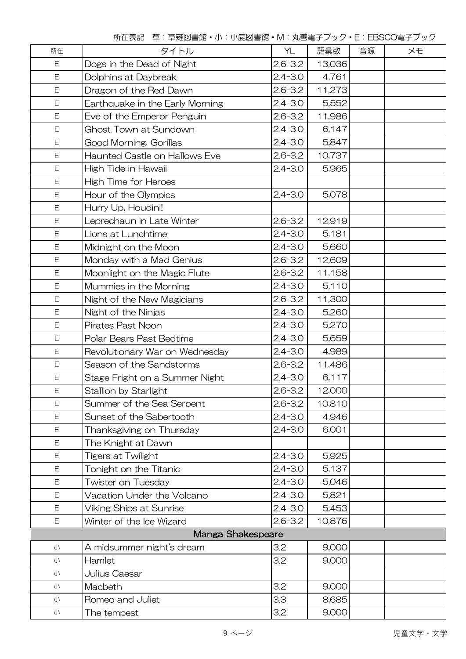所在表記 草:草薙図書館・小:小鹿図書館・M:丸善電子ブック・E:EBSCO電子ブック

| 所在          | タイトル                                 | YL          | 語彙数    | 音源 | XĐ |
|-------------|--------------------------------------|-------------|--------|----|----|
| E           | Dogs in the Dead of Night            | $2.6 - 3.2$ | 13,036 |    |    |
| Ε           | Dolphins at Daybreak                 | $2.4 - 3.0$ | 4,761  |    |    |
| E           | Dragon of the Red Dawn               | $2.6 - 3.2$ | 11,273 |    |    |
| E           | Earthquake in the Early Morning      | $2.4 - 3.0$ | 5,552  |    |    |
| E           | Eve of the Emperor Penguin           | $2.6 - 3.2$ | 11,986 |    |    |
| E           | Ghost Town at Sundown                | $2.4 - 3.0$ | 6,147  |    |    |
| E           | Good Morning, Gorillas               | $2.4 - 3.0$ | 5,847  |    |    |
| Ε           | <b>Haunted Castle on Hallows Eve</b> | $2.6 - 3.2$ | 10,737 |    |    |
| E           | High Tide in Hawaii                  | $2.4 - 3.0$ | 5,965  |    |    |
| Ε           | High Time for Heroes                 |             |        |    |    |
| Ε           | Hour of the Olympics                 | $2.4 - 3.0$ | 5,078  |    |    |
| E           | Hurry Up, Houdini!                   |             |        |    |    |
| E           | Leprechaun in Late Winter            | $2.6 - 3.2$ | 12,919 |    |    |
| E           | Lions at Lunchtime                   | $2.4 - 3.0$ | 5,181  |    |    |
| E           | Midnight on the Moon                 | $2.4 - 3.0$ | 5,660  |    |    |
| E           | Monday with a Mad Genius             | $2.6 - 3.2$ | 12,609 |    |    |
| E           | Moonlight on the Magic Flute         | $2.6 - 3.2$ | 11,158 |    |    |
| E           | Mummies in the Morning               | $2.4 - 3.0$ | 5,110  |    |    |
| Ε           | Night of the New Magicians           | $2.6 - 3.2$ | 11,300 |    |    |
| $\mathsf E$ | Night of the Ninjas                  | $2.4 - 3.0$ | 5,260  |    |    |
| Ε           | Pirates Past Noon                    | $2.4 - 3.0$ | 5,270  |    |    |
| Ε           | Polar Bears Past Bedtime             | $2.4 - 3.0$ | 5,659  |    |    |
| E           | Revolutionary War on Wednesday       | $2.4 - 3.0$ | 4,989  |    |    |
| Ε           | Season of the Sandstorms             | $2.6 - 3.2$ | 11,486 |    |    |
| Ε           | Stage Fright on a Summer Night       | $2.4 - 3.0$ | 6,117  |    |    |
| E           | Stallion by Starlight                | $2.6 - 3.2$ | 12,000 |    |    |
| E           | Summer of the Sea Serpent            | $2.6 - 3.2$ | 10,810 |    |    |
| E           | Sunset of the Sabertooth             | $2.4 - 3.0$ | 4,946  |    |    |
| Ε           | Thanksgiving on Thursday             | $2.4 - 3.0$ | 6,001  |    |    |
| Ε           | The Knight at Dawn                   |             |        |    |    |
| E           | <b>Tigers at Twilight</b>            | $2.4 - 3.0$ | 5,925  |    |    |
| E           | Tonight on the Titanic               | $2.4 - 3.0$ | 5,137  |    |    |
| Ε           | Twister on Tuesday                   | $2.4 - 3.0$ | 5,046  |    |    |
| Ε           | Vacation Under the Volcano           | $2.4 - 3.0$ | 5,821  |    |    |
| Ε           | Viking Ships at Sunrise              | $2.4 - 3.0$ | 5,453  |    |    |
| E           | Winter of the Ice Wizard             | $2.6 - 3.2$ | 10,876 |    |    |
|             | Manga Shakespeare                    |             |        |    |    |
| 小           | A midsummer night's dream            | 3.2         | 9,000  |    |    |
| 小           | Hamlet                               | 3.2         | 9,000  |    |    |
| 小           | Julius Caesar                        |             |        |    |    |
| 小           | Macbeth                              | 3.2         | 9,000  |    |    |
| 小           | Romeo and Juliet                     | 3.3         | 8,685  |    |    |
| 小           | The tempest                          | 3.2         | 9,000  |    |    |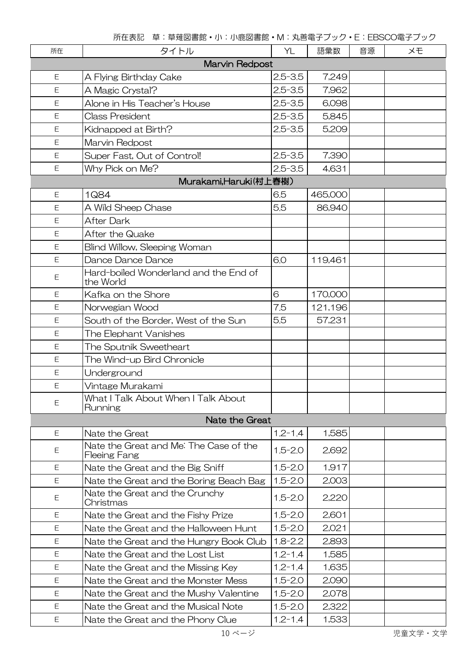所在表記 草:草薙図書館・小:小鹿図書館・M:丸善電子ブック・E:EBSCO電子ブック

| 所在             | タイトル                                                   | YL          | 語彙数     | 音源 | メモ |  |
|----------------|--------------------------------------------------------|-------------|---------|----|----|--|
| Marvin Redpost |                                                        |             |         |    |    |  |
| Ε              | A Flying Birthday Cake                                 | $2.5 - 3.5$ | 7,249   |    |    |  |
| Ε              | A Magic Crystal?                                       | $2.5 - 3.5$ | 7,962   |    |    |  |
| E              | Alone in His Teacher's House                           | $2.5 - 3.5$ | 6,098   |    |    |  |
| Ε              | <b>Class President</b>                                 | $2.5 - 3.5$ | 5,845   |    |    |  |
| Ε              | Kidnapped at Birth?                                    | $2.5 - 3.5$ | 5,209   |    |    |  |
| Ε              | Marvin Redpost                                         |             |         |    |    |  |
| Ε              | Super Fast, Out of Control!                            | $2.5 - 3.5$ | 7,390   |    |    |  |
| Ε              | Why Pick on Me?                                        | $2.5 - 3.5$ | 4,631   |    |    |  |
|                | Murakami,Haruki(村上春樹)                                  |             |         |    |    |  |
| Ε              | 1Q84                                                   | 6.5         | 465,000 |    |    |  |
| Ε              | A Wild Sheep Chase                                     | 5.5         | 86,940  |    |    |  |
| Ε              | <b>After Dark</b>                                      |             |         |    |    |  |
| Ε              | After the Quake                                        |             |         |    |    |  |
| Ε              | Blind Willow, Sleeping Woman                           |             |         |    |    |  |
| Ε              | Dance Dance Dance                                      | 6.0         | 119,461 |    |    |  |
| $\mathsf E$    | Hard-boiled Wonderland and the End of<br>the World     |             |         |    |    |  |
| Ε              | Kafka on the Shore                                     | 6           | 170,000 |    |    |  |
| Ε              | Norwegian Wood                                         | 7.5         | 121,196 |    |    |  |
| Ε              | South of the Border, West of the Sun                   | 5.5         | 57,231  |    |    |  |
| $\mathsf E$    | The Elephant Vanishes                                  |             |         |    |    |  |
| E              | The Sputnik Sweetheart                                 |             |         |    |    |  |
| Ε              | The Wind-up Bird Chronicle                             |             |         |    |    |  |
| $\mathsf E$    | Underground                                            |             |         |    |    |  |
| Ε              | Vintage Murakami                                       |             |         |    |    |  |
| Ε              | What I Talk About When I Talk About<br>Running         |             |         |    |    |  |
|                | Nate the Great                                         |             |         |    |    |  |
| Ε              | Nate the Great                                         | $1.2 - 1.4$ | 1,585   |    |    |  |
| Ε              | Nate the Great and Me: The Case of the<br>Fleeing Fang | $1.5 - 2.0$ | 2,692   |    |    |  |
| Ε              | Nate the Great and the Big Sniff                       | $1.5 - 2.0$ | 1,917   |    |    |  |
| E              | Nate the Great and the Boring Beach Bag                | $1.5 - 2.0$ | 2,003   |    |    |  |
| Ε              | Nate the Great and the Crunchy<br>Christmas            | $1.5 - 2.0$ | 2,220   |    |    |  |
| Ε              | Nate the Great and the Fishy Prize                     | $1.5 - 2.0$ | 2,601   |    |    |  |
| Ε              | Nate the Great and the Halloween Hunt                  | $1.5 - 2.0$ | 2,021   |    |    |  |
| E              | Nate the Great and the Hungry Book Club                | $1.8 - 2.2$ | 2,893   |    |    |  |
| Ε              | Nate the Great and the Lost List                       | $1.2 - 1.4$ | 1,585   |    |    |  |
| E              | Nate the Great and the Missing Key                     | $1.2 - 1.4$ | 1,635   |    |    |  |
| Ε              | Nate the Great and the Monster Mess                    | $1.5 - 2.0$ | 2,090   |    |    |  |
| E              | Nate the Great and the Mushy Valentine                 | $1.5 - 2.0$ | 2,078   |    |    |  |
| Ε              | Nate the Great and the Musical Note                    | $1.5 - 2.0$ | 2,322   |    |    |  |
| E              | Nate the Great and the Phony Clue                      | $1.2 - 1.4$ | 1,533   |    |    |  |